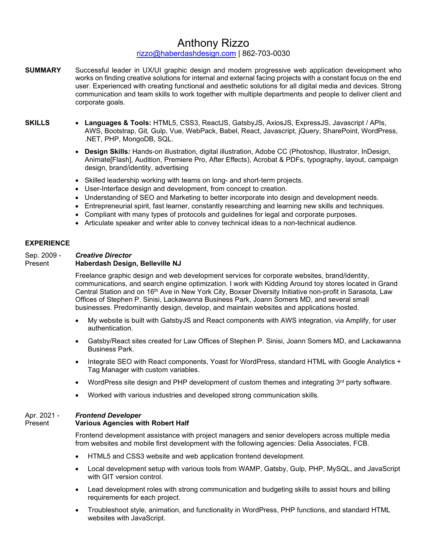## Anthony Rizzo

### [rizzo@haberdashdesign.com](mailto:rizzo@haberdashdesign.com) | 862-703-0030

- **SUMMARY** Successful leader in UX/UI graphic design and modern progressive web application development who works on finding creative solutions for internal and external facing projects with a constant focus on the end user. Experienced with creating functional and aesthetic solutions for all digital media and devices. Strong communication and team skills to work together with multiple departments and people to deliver client and corporate goals.
- **SKILLS Languages & Tools:** HTML5, CSS3, ReactJS, GatsbyJS, AxiosJS, ExpressJS, Javascript / APIs, AWS, Bootstrap, Git, Gulp, Vue, WebPack, Babel, React, Javascript, jQuery, SharePoint, WordPress, .NET, PHP, MongoDB, SQL.
	- **Design Skills***:* Hands-on illustration, digital illustration, Adobe CC (Photoshop, Illustrator, InDesign, Animate[Flash], Audition, Premiere Pro, After Effects), Acrobat & PDFs, typography, layout, campaign design, brand/identity, advertising
	- Skilled leadership working with teams on long- and short-term projects.
	- User-Interface design and development, from concept to creation.
	- Understanding of SEO and Marketing to better incorporate into design and development needs.
	- Entrepreneurial spirit, fast learner, constantly researching and learning new skills and techniques.
	- Compliant with many types of protocols and guidelines for legal and corporate purposes.
	- Articulate speaker and writer able to convey technical ideas to a non-technical audience.

### **EXPERIENCE**

#### Sep. 2009 - *Creative Director* Present **Haberdash Design, Belleville NJ**

### Freelance graphic design and web development services for corporate websites, brand/identity, communications, and search engine optimization. I work with Kidding Around toy stores located in Grand Central Station and on 16th Ave in New York City, Boxser Diversity Initiative non-profit in Sarasota, Law Offices of Stephen P. Sinisi, Lackawanna Business Park, Joann Somers MD, and several small businesses. Predominantly design, develop, and maintain websites and applications hosted.

- My website is built with GatsbyJS and React components with AWS integration, via Amplify, for user authentication.
- Gatsby/React sites created for Law Offices of Stephen P. Sinisi, Joann Somers MD, and Lackawanna Business Park.
- Integrate SEO with React components, Yoast for WordPress, standard HTML with Google Analytics + Tag Manager with custom variables.
- WordPress site design and PHP development of custom themes and integrating  $3<sup>rd</sup>$  party software.
- Worked with various industries and developed strong communication skills.

### Apr. 2021 - *Frontend Developer*

#### Present **Various Agencies with Robert Half**

Frontend development assistance with project managers and senior developers across multiple media from websites and mobile first development with the following agencies: Delia Associates, FCB.

- HTML5 and CSS3 website and web application frontend development.
- Local development setup with various tools from WAMP, Gatsby, Gulp, PHP, MySQL, and JavaScript with GIT version control.
- Lead development roles with strong communication and budgeting skills to assist hours and billing requirements for each project.
- Troubleshoot style, animation, and functionality in WordPress, PHP functions, and standard HTML websites with JavaScript.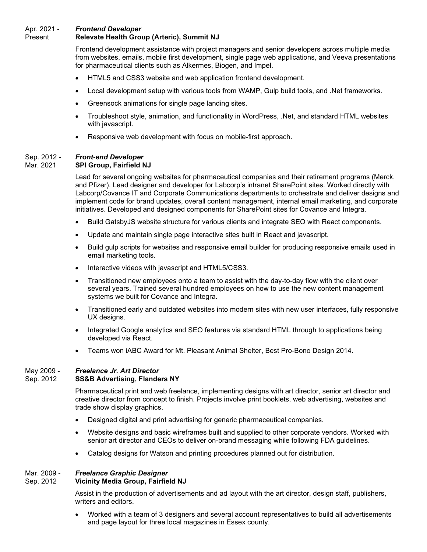## Apr. 2021 - *Frontend Developer*

### **Relevate Health Group (Arteric), Summit NJ**

Frontend development assistance with project managers and senior developers across multiple media from websites, emails, mobile first development, single page web applications, and Veeva presentations for pharmaceutical clients such as Alkermes, Biogen, and Impel.

- HTML5 and CSS3 website and web application frontend development.
- Local development setup with various tools from WAMP, Gulp build tools, and .Net frameworks.
- Greensock animations for single page landing sites.
- Troubleshoot style, animation, and functionality in WordPress, .Net, and standard HTML websites with javascript.
- Responsive web development with focus on mobile-first approach.

# Sep. 2012 - *Front-end Developer*

## **SPI Group, Fairfield NJ**

Lead for several ongoing websites for pharmaceutical companies and their retirement programs (Merck, and Pfizer). Lead designer and developer for Labcorp's intranet SharePoint sites. Worked directly with Labcorp/Covance IT and Corporate Communications departments to orchestrate and deliver designs and implement code for brand updates, overall content management, internal email marketing, and corporate initiatives. Developed and designed components for SharePoint sites for Covance and Integra.

- Build GatsbyJS website structure for various clients and integrate SEO with React components.
- Update and maintain single page interactive sites built in React and javascript.
- Build gulp scripts for websites and responsive email builder for producing responsive emails used in email marketing tools.
- Interactive videos with javascript and HTML5/CSS3.
- Transitioned new employees onto a team to assist with the day-to-day flow with the client over several years. Trained several hundred employees on how to use the new content management systems we built for Covance and Integra.
- Transitioned early and outdated websites into modern sites with new user interfaces, fully responsive UX designs.
- Integrated Google analytics and SEO features via standard HTML through to applications being developed via React.
- Teams won iABC Award for Mt. Pleasant Animal Shelter, Best Pro-Bono Design 2014.

#### May 2009 - *Freelance Jr. Art Director* **SS&B Advertising, Flanders NY**

Pharmaceutical print and web freelance, implementing designs with art director, senior art director and creative director from concept to finish. Projects involve print booklets, web advertising, websites and trade show display graphics.

- Designed digital and print advertising for generic pharmaceutical companies.
- Website designs and basic wireframes built and supplied to other corporate vendors. Worked with senior art director and CEOs to deliver on-brand messaging while following FDA guidelines.
- Catalog designs for Watson and printing procedures planned out for distribution.

# Mar. 2009 - *Freelance Graphic Designer*

## **Vicinity Media Group, Fairfield NJ**

Assist in the production of advertisements and ad layout with the art director, design staff, publishers, writers and editors.

• Worked with a team of 3 designers and several account representatives to build all advertisements and page layout for three local magazines in Essex county.